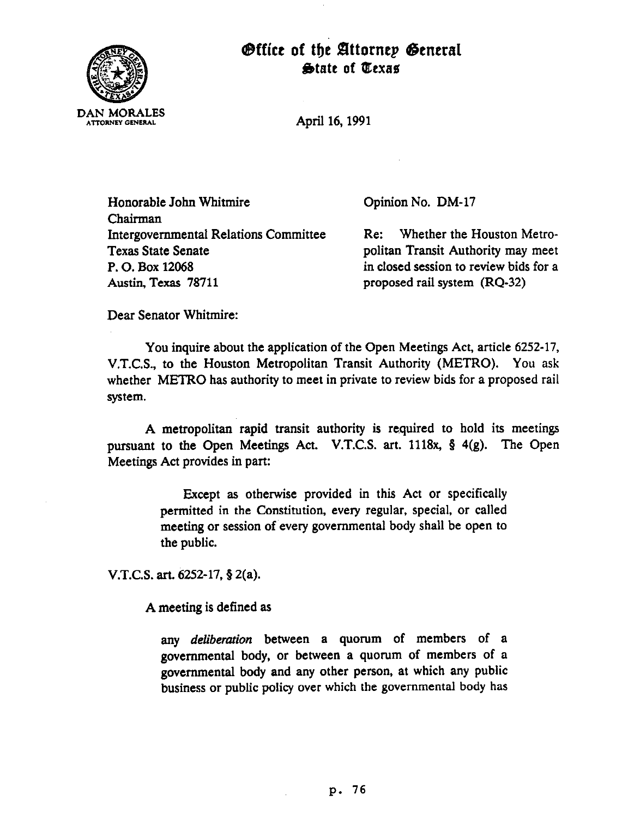

## Office of the Attorney General  $\bigoplus$ tate of *Wexas*

April 16,199l

Honorable John Whitmire Chairman Intergovernmental Relations Committee Texas State Senate P. 0. Box 12068 Austin, Texas 78711

Opinion No. DM-17

Re: Whether the Houston Metropolitan Transit Authority may meet in closed session to review bids for a proposed rail system (RQ-32)

Dear Senator Whitmire:

You inquire about the application of the Open Meetings Act, article 6252-17, V.T.C.S., to the Houston Metropolitan Transit Authority (METRO). You ask whether METRO has authority to meet in private to review bids for a proposed rail system.

A metropolitan rapid transit authority is required to hold its meetings pursuant to the Open Meetings Act. V.T.C.S. art. 1118x, 8 4(g). The Open Meetings Act provides in part:

> Except as otherwise provided in this Act or specifically permitted in the Constitution, every regular, special, or called meeting or session of every governmental body shall be open to the public.

V.T.C.S. art.  $6252 - 17$ , § 2(a).

A meeting is defined as

any *deliberation* between a quorum of members of a governmental body, or between a quorum of members of a governmental body and any other person, at which any public business or public policy over which the governmental body has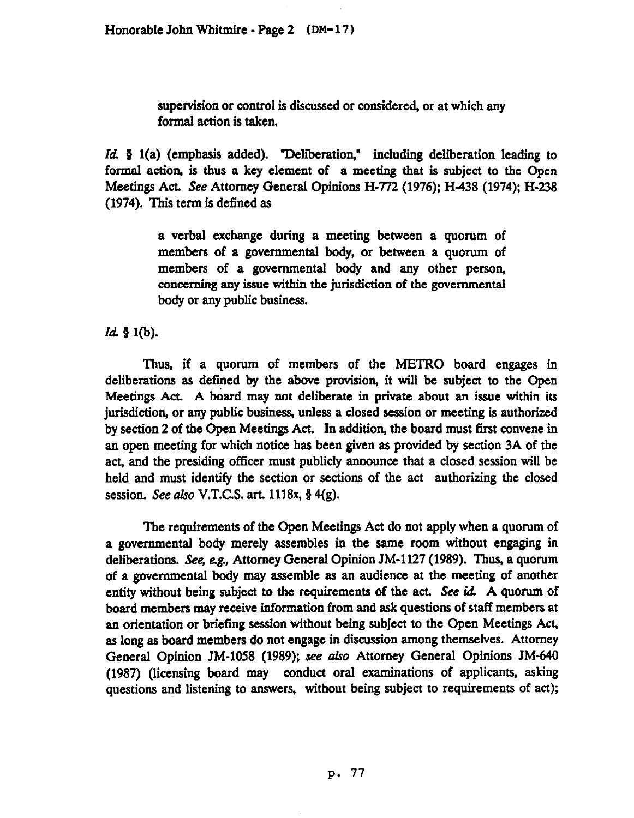supervision or control is discussed or considered, or at which any formal action is taken.

Id § 1(a) (emphasis added). "Deliberation," including deliberation leading to formal action, is thus a key element of a meeting that is subject to the Open Meetings Act. See Attorney General Opinions H-772 (1976); H-438 (1974); H-238 (1974). This term is defined as

> a verbal exchange during a meeting between a quorum of members of a governmental body, or between a quorum of members of a governmental body and any other person, concerning any issue within the jurisdiction of the governmental body or any public business.

*Id.* § 1(b).

Thus, if a quorum of members of the METRO board engages in deliberations as defined by the above provision, it will be subject to the Open Meetings Act, A board may not deliberate in private about an issue within its jurisdiction, or any public business, unless a closed session or meeting is authorized by section 2 of the Open Meetings Act. In addition, the board must first convene in an open meeting for which notice has been given as provided by section 3A of the act, and the presiding officer must publicly announce that a closed session will be held and must identify the section or sections of the act authorizing the closed session. See also V.T.C.S. art. 1118x,  $\S$  4(g).

The requirements of the Open Meetings Act do not apply when a quorum of a governmental body merely assembles in the same room without engaging in deliberations. See, e.g, Attorney General Opinion JM-1127 (1989). Thus, a quorum of a governmental body may assemble as an audience at the meeting of another entity without being subject to the requirements of the act. See id. A quorum of board members may receive information from and ask questions of staff members at an orientation or briefing session without being subject to the Open Meetings Act, as long as board members do not engage in discussion among themselves. Attorney General Opinion JM-1058 (1989); see also Attorney General Opinions JM-640 (1987) (licensing board may conduct oral examinations of applicants, asking questions and listening to answers, without being subject to requirements of act);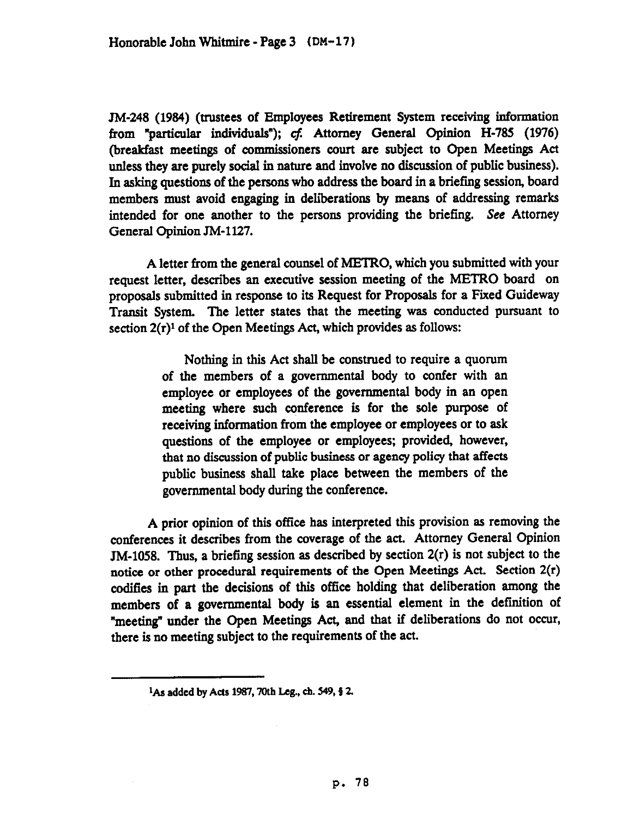JM-248 (1984) (trustees of Employees Retirement System receiving information from "particular individuals"); cf: Attorney General Opinion H-785 (1976) (breakfast meetings of commissioners court are subject to Open Meetings Act unless they are purely social in nature and involve no discussion of public business). In asking questions of the persons who address the board in a briefing session, board members must avoid engaging in deliberations by means of addressing remarks intended for one another to the persons providing the briefing. See Attorney General Opinion JM-1127.

A letter from the general counsel of METRO, which you submitted with your request letter, describes an executive session meeting of the METRO board on proposals submitted in response to its Request for Proposals for a Pied Guideway Transit System. The letter states that the meeting was conducted pursuant to section  $2(r)^1$  of the Open Meetings Act, which provides as follows:

> Nothing in this Act shall be construed to require a quorum of the members of a governmental body to confer with an employee or employees of the governmental body in an open meeting where such conference is for the sole purpose of receiving information from the employee or employees or to ask questions of the employee or employees; provided, however, that no discussion of public business or agency policy that affects public business shall take place between the members of the governmental body during the conference.

A prior opinion of this office has interpreted this provision as removing the conferences it describes from the coverage of the act. Attorney General Opinion JM-1058. Thus, a briefing session as described by section 2(r) is not subject to the notice or other procedural requirements of the Open Meetings Act. Section 2(r) codifies in part the decisions of this office holding that deliberation among the members of a governmental body is an essential element in the definition of "meeting" under the Open Meetings Act, and that if deliberations do not occur, there is no meeting subject to the requirements of the act.

<sup>&</sup>lt;sup>1</sup>As added by Acts 1987, 70th Leg., ch. 549, § 2.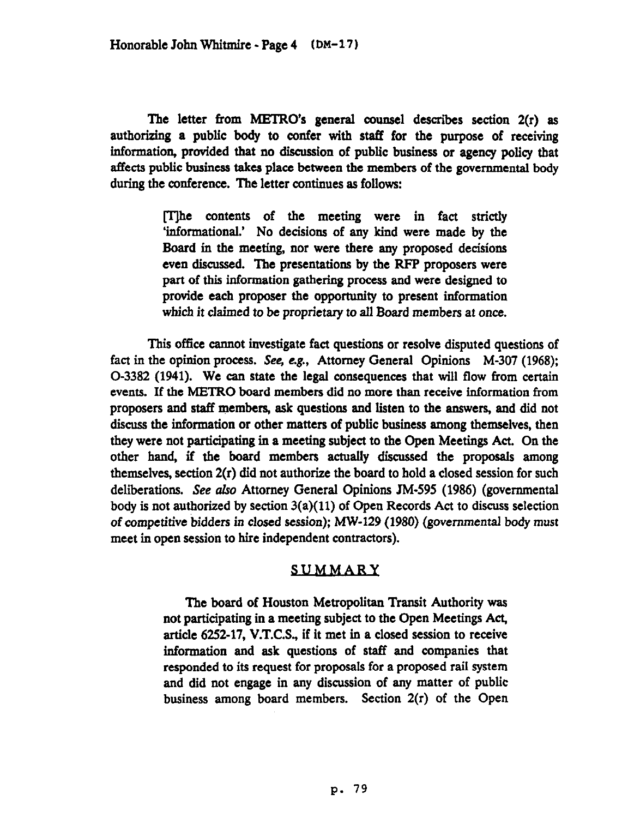The letter from METRO's general counsel describes section 2(r) as authorizing a public body to confer witb staff for the purpose **of** receiving information, provided that no discussion of public business or agency policy that affects public business takes place between the members of the governmental body during the conference. The letter continues as follows:

> [T]he contents of the meeting were in fact strictly 'informational.' No decisions of any kind were made by the Board in the meeting, nor were there any proposed decisions even discussed. The presentations by the RFP proposers were part of this information gathering process and were designed to provide each proposer the opportunity to present information which it claimed to be proprietary to all Board members at once.

This office cannot investigate fact questions or resolve disputed questions of fact in the opinion process. See, e.g., Attorney General Opinions M-307 (1968); O-3382 (1941). We can state the legal consequences that will flow from certain events. If the METRO board members did no more than receive information from proposers and staff members, ask questions and listen to the answers, and did not discuss the information or other matters of public business among themselves, then they were not participating in a meeting subject to the Open Meetings Act. On the other hand, if the board members actually discussed the proposals among themselves, section 2(r) did not authorize the board to hold a closed session for such deliberations. See also Attorney General Opinions JM-595 (1986) (governmental body is not authorized by section 3(a)( 11) of Open Records Act to discuss selection of competitive bidders *in* closed session); MW-129 (1980) (governmental body *must*  meet in open session to hire independent contractors).

## **SUMMARY**

The board of Houston Metropolitan Transit Authority was not participating in a meeting subject to the Open Meetings Act, article 6252-17, V.T.C.S., if it met in a closed session to receive information and ask questions of staff and companies that responded to its request for proposals for a proposed rail system and did not engage in any discussion of any matter of public business among board members. Section 2(r) of the Open